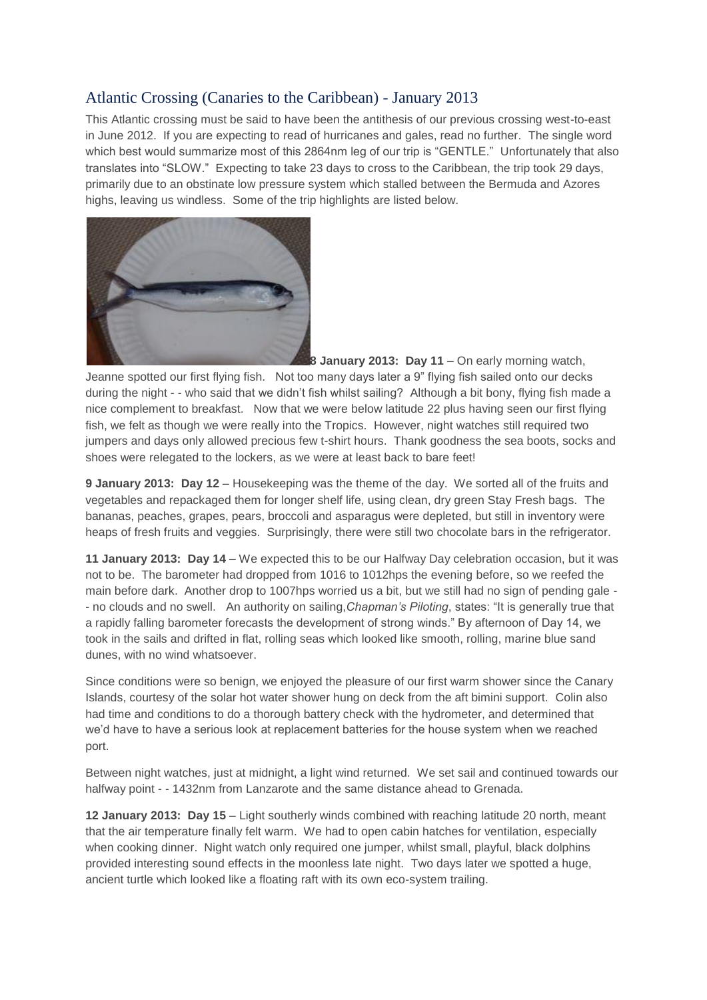## Atlantic Crossing (Canaries to the Caribbean) - January 2013

This Atlantic crossing must be said to have been the antithesis of our previous crossing west-to-east in June 2012. If you are expecting to read of hurricanes and gales, read no further. The single word which best would summarize most of this 2864nm leg of our trip is "GENTLE." Unfortunately that also translates into "SLOW." Expecting to take 23 days to cross to the Caribbean, the trip took 29 days, primarily due to an obstinate low pressure system which stalled between the Bermuda and Azores highs, leaving us windless. Some of the trip highlights are listed below.



**8 January 2013: Day 11** – On early morning watch,

Jeanne spotted our first flying fish. Not too many days later a 9" flying fish sailed onto our decks during the night - - who said that we didn't fish whilst sailing? Although a bit bony, flying fish made a nice complement to breakfast. Now that we were below latitude 22 plus having seen our first flying fish, we felt as though we were really into the Tropics. However, night watches still required two jumpers and days only allowed precious few t-shirt hours. Thank goodness the sea boots, socks and shoes were relegated to the lockers, as we were at least back to bare feet!

**9 January 2013: Day 12** – Housekeeping was the theme of the day. We sorted all of the fruits and vegetables and repackaged them for longer shelf life, using clean, dry green Stay Fresh bags. The bananas, peaches, grapes, pears, broccoli and asparagus were depleted, but still in inventory were heaps of fresh fruits and veggies. Surprisingly, there were still two chocolate bars in the refrigerator.

**11 January 2013: Day 14** – We expected this to be our Halfway Day celebration occasion, but it was not to be. The barometer had dropped from 1016 to 1012hps the evening before, so we reefed the main before dark. Another drop to 1007hps worried us a bit, but we still had no sign of pending gale - - no clouds and no swell. An authority on sailing,*Chapman's Piloting*, states: "It is generally true that a rapidly falling barometer forecasts the development of strong winds." By afternoon of Day 14, we took in the sails and drifted in flat, rolling seas which looked like smooth, rolling, marine blue sand dunes, with no wind whatsoever.

Since conditions were so benign, we enjoyed the pleasure of our first warm shower since the Canary Islands, courtesy of the solar hot water shower hung on deck from the aft bimini support. Colin also had time and conditions to do a thorough battery check with the hydrometer, and determined that we'd have to have a serious look at replacement batteries for the house system when we reached port.

Between night watches, just at midnight, a light wind returned. We set sail and continued towards our halfway point - - 1432nm from Lanzarote and the same distance ahead to Grenada.

**12 January 2013: Day 15** – Light southerly winds combined with reaching latitude 20 north, meant that the air temperature finally felt warm. We had to open cabin hatches for ventilation, especially when cooking dinner. Night watch only required one jumper, whilst small, playful, black dolphins provided interesting sound effects in the moonless late night. Two days later we spotted a huge, ancient turtle which looked like a floating raft with its own eco-system trailing.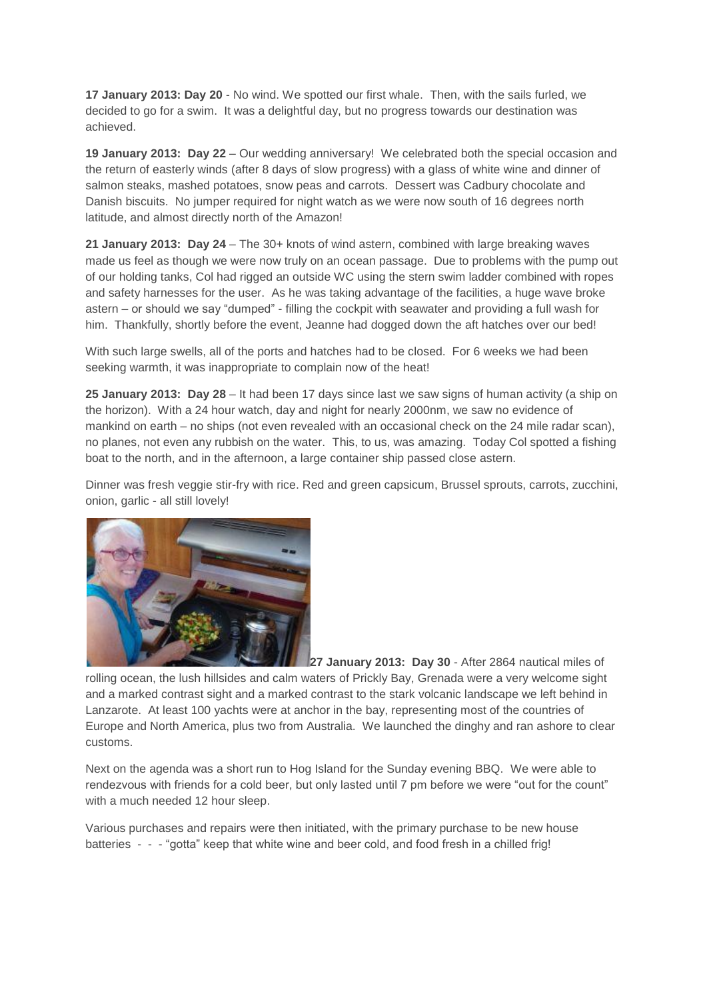**17 January 2013: Day 20** - No wind. We spotted our first whale. Then, with the sails furled, we decided to go for a swim. It was a delightful day, but no progress towards our destination was achieved.

**19 January 2013: Day 22** – Our wedding anniversary! We celebrated both the special occasion and the return of easterly winds (after 8 days of slow progress) with a glass of white wine and dinner of salmon steaks, mashed potatoes, snow peas and carrots. Dessert was Cadbury chocolate and Danish biscuits. No jumper required for night watch as we were now south of 16 degrees north latitude, and almost directly north of the Amazon!

**21 January 2013: Day 24** – The 30+ knots of wind astern, combined with large breaking waves made us feel as though we were now truly on an ocean passage. Due to problems with the pump out of our holding tanks, Col had rigged an outside WC using the stern swim ladder combined with ropes and safety harnesses for the user. As he was taking advantage of the facilities, a huge wave broke astern – or should we say "dumped" - filling the cockpit with seawater and providing a full wash for him. Thankfully, shortly before the event, Jeanne had dogged down the aft hatches over our bed!

With such large swells, all of the ports and hatches had to be closed. For 6 weeks we had been seeking warmth, it was inappropriate to complain now of the heat!

**25 January 2013: Day 28** – It had been 17 days since last we saw signs of human activity (a ship on the horizon). With a 24 hour watch, day and night for nearly 2000nm, we saw no evidence of mankind on earth – no ships (not even revealed with an occasional check on the 24 mile radar scan), no planes, not even any rubbish on the water. This, to us, was amazing. Today Col spotted a fishing boat to the north, and in the afternoon, a large container ship passed close astern.

Dinner was fresh veggie stir-fry with rice. Red and green capsicum, Brussel sprouts, carrots, zucchini, onion, garlic - all still lovely!



**27 January 2013: Day 30** - After 2864 nautical miles of rolling ocean, the lush hillsides and calm waters of Prickly Bay, Grenada were a very welcome sight and a marked contrast sight and a marked contrast to the stark volcanic landscape we left behind in Lanzarote. At least 100 yachts were at anchor in the bay, representing most of the countries of Europe and North America, plus two from Australia. We launched the dinghy and ran ashore to clear customs.

Next on the agenda was a short run to Hog Island for the Sunday evening BBQ. We were able to rendezvous with friends for a cold beer, but only lasted until 7 pm before we were "out for the count" with a much needed 12 hour sleep.

Various purchases and repairs were then initiated, with the primary purchase to be new house batteries - - - "gotta" keep that white wine and beer cold, and food fresh in a chilled frig!